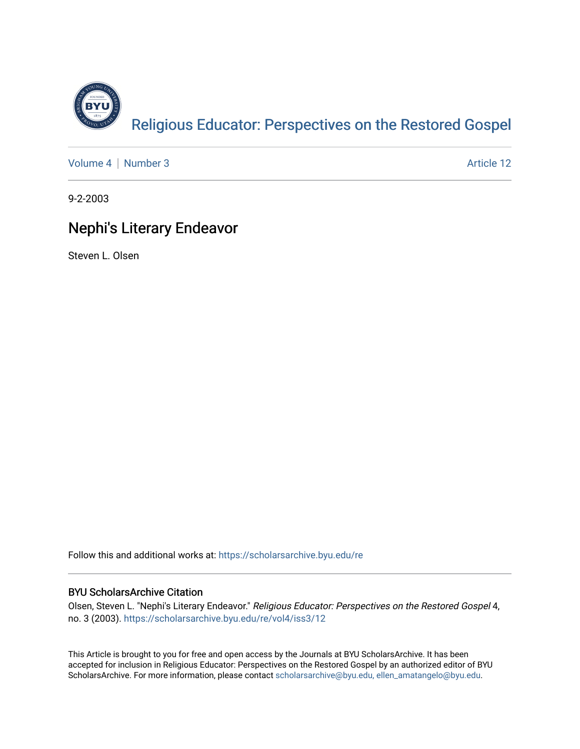

[Volume 4](https://scholarsarchive.byu.edu/re/vol4) | [Number 3](https://scholarsarchive.byu.edu/re/vol4/iss3) Article 12

9-2-2003

# Nephi's Literary Endeavor

Steven L. Olsen

Follow this and additional works at: [https://scholarsarchive.byu.edu/re](https://scholarsarchive.byu.edu/re?utm_source=scholarsarchive.byu.edu%2Fre%2Fvol4%2Fiss3%2F12&utm_medium=PDF&utm_campaign=PDFCoverPages)

## BYU ScholarsArchive Citation

Olsen, Steven L. "Nephi's Literary Endeavor." Religious Educator: Perspectives on the Restored Gospel 4, no. 3 (2003). [https://scholarsarchive.byu.edu/re/vol4/iss3/12](https://scholarsarchive.byu.edu/re/vol4/iss3/12?utm_source=scholarsarchive.byu.edu%2Fre%2Fvol4%2Fiss3%2F12&utm_medium=PDF&utm_campaign=PDFCoverPages) 

This Article is brought to you for free and open access by the Journals at BYU ScholarsArchive. It has been accepted for inclusion in Religious Educator: Perspectives on the Restored Gospel by an authorized editor of BYU ScholarsArchive. For more information, please contact [scholarsarchive@byu.edu, ellen\\_amatangelo@byu.edu.](mailto:scholarsarchive@byu.edu,%20ellen_amatangelo@byu.edu)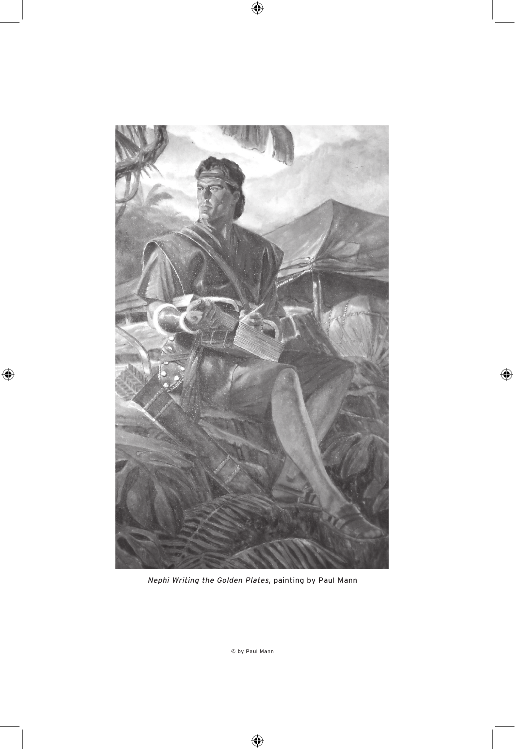

Nephi Writing the Golden Plates, painting by Paul Mann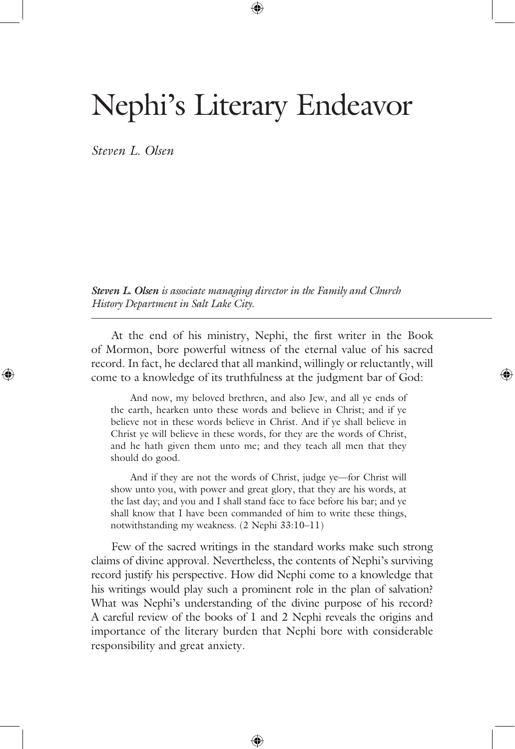# Nephi's Literary Endeavor

*Steven L. Olsen*

*Steven L. Olsen is associate managing director in the Family and Church History Department in Salt Lake City.*

 At the end of his ministry, Nephi, the first writer in the Book of Mormon, bore powerful witness of the eternal value of his sacred record. In fact, he declared that all mankind, willingly or reluctantly, will come to a knowledge of its truthfulness at the judgment bar of God:

 And now, my beloved brethren, and also Jew, and all ye ends of the earth, hearken unto these words and believe in Christ; and if ye believe not in these words believe in Christ. And if ye shall believe in Christ ye will believe in these words, for they are the words of Christ, and he hath given them unto me; and they teach all men that they should do good.

 And if they are not the words of Christ, judge ye—for Christ will show unto you, with power and great glory, that they are his words, at the last day; and you and I shall stand face to face before his bar; and ye shall know that I have been commanded of him to write these things, notwithstanding my weakness. (2 Nephi 33:10–11)

 Few of the sacred writings in the standard works make such strong claims of divine approval. Nevertheless, the contents of Nephi's surviving record justify his perspective. How did Nephi come to a knowledge that his writings would play such a prominent role in the plan of salvation? What was Nephi's understanding of the divine purpose of his record? A careful review of the books of 1 and 2 Nephi reveals the origins and importance of the literary burden that Nephi bore with considerable responsibility and great anxiety.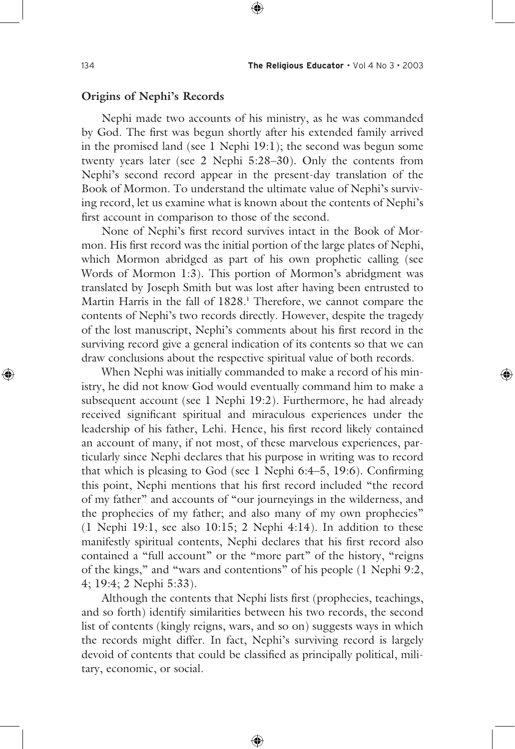#### **Origins of Nephi's Records**

 Nephi made two accounts of his ministry, as he was commanded by God. The first was begun shortly after his extended family arrived in the promised land (see 1 Nephi 19:1); the second was begun some twenty years later (see 2 Nephi 5:28–30). Only the contents from Nephi's second record appear in the present-day translation of the Book of Mormon. To understand the ultimate value of Nephi's surviving record, let us examine what is known about the contents of Nephi's first account in comparison to those of the second.

 None of Nephi's first record survives intact in the Book of Mormon. His first record was the initial portion of the large plates of Nephi, which Mormon abridged as part of his own prophetic calling (see Words of Mormon 1:3). This portion of Mormon's abridgment was translated by Joseph Smith but was lost after having been entrusted to Martin Harris in the fall of 1828.**<sup>1</sup>** Therefore, we cannot compare the contents of Nephi's two records directly. However, despite the tragedy of the lost manuscript, Nephi's comments about his first record in the surviving record give a general indication of its contents so that we can draw conclusions about the respective spiritual value of both records.

 When Nephi was initially commanded to make a record of his ministry, he did not know God would eventually command him to make a subsequent account (see 1 Nephi 19:2). Furthermore, he had already received significant spiritual and miraculous experiences under the leadership of his father, Lehi. Hence, his first record likely contained an account of many, if not most, of these marvelous experiences, particularly since Nephi declares that his purpose in writing was to record that which is pleasing to God (see 1 Nephi 6:4–5, 19:6). Confirming this point, Nephi mentions that his first record included "the record of my father" and accounts of "our journeyings in the wilderness, and the prophecies of my father; and also many of my own prophecies" (1 Nephi 19:1, see also 10:15; 2 Nephi 4:14). In addition to these manifestly spiritual contents, Nephi declares that his first record also contained a "full account" or the "more part" of the history, "reigns of the kings," and "wars and contentions" of his people (1 Nephi 9:2, 4; 19:4; 2 Nephi 5:33).

 Although the contents that Nephi lists first (prophecies, teachings, and so forth) identify similarities between his two records, the second list of contents (kingly reigns, wars, and so on) suggests ways in which the records might differ. In fact, Nephi's surviving record is largely devoid of contents that could be classified as principally political, military, economic, or social.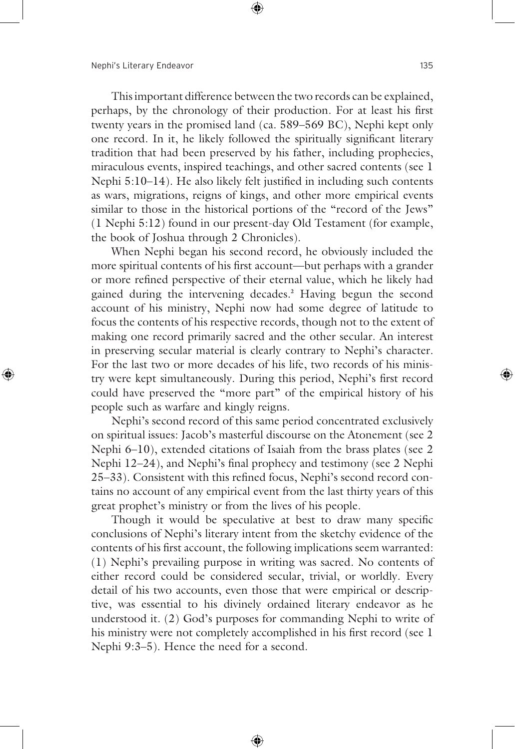This important difference between the two records can be explained, perhaps, by the chronology of their production. For at least his first twenty years in the promised land (ca. 589–569 BC), Nephi kept only one record. In it, he likely followed the spiritually significant literary tradition that had been preserved by his father, including prophecies, miraculous events, inspired teachings, and other sacred contents (see 1 Nephi 5:10–14). He also likely felt justified in including such contents as wars, migrations, reigns of kings, and other more empirical events similar to those in the historical portions of the "record of the Jews" (1 Nephi 5:12) found in our present-day Old Testament (for example, the book of Joshua through 2 Chronicles).

 When Nephi began his second record, he obviously included the more spiritual contents of his first account—but perhaps with a grander or more refined perspective of their eternal value, which he likely had gained during the intervening decades.**<sup>2</sup>** Having begun the second account of his ministry, Nephi now had some degree of latitude to focus the contents of his respective records, though not to the extent of making one record primarily sacred and the other secular. An interest in preserving secular material is clearly contrary to Nephi's character. For the last two or more decades of his life, two records of his ministry were kept simultaneously. During this period, Nephi's first record could have preserved the "more part" of the empirical history of his people such as warfare and kingly reigns.

 Nephi's second record of this same period concentrated exclusively on spiritual issues: Jacob's masterful discourse on the Atonement (see 2 Nephi 6–10), extended citations of Isaiah from the brass plates (see 2 Nephi 12–24), and Nephi's final prophecy and testimony (see 2 Nephi 25–33). Consistent with this refined focus, Nephi's second record contains no account of any empirical event from the last thirty years of this great prophet's ministry or from the lives of his people.

 Though it would be speculative at best to draw many specific conclusions of Nephi's literary intent from the sketchy evidence of the contents of his first account, the following implications seem warranted: (1) Nephi's prevailing purpose in writing was sacred. No contents of either record could be considered secular, trivial, or worldly. Every detail of his two accounts, even those that were empirical or descriptive, was essential to his divinely ordained literary endeavor as he understood it. (2) God's purposes for commanding Nephi to write of his ministry were not completely accomplished in his first record (see 1 Nephi 9:3–5). Hence the need for a second.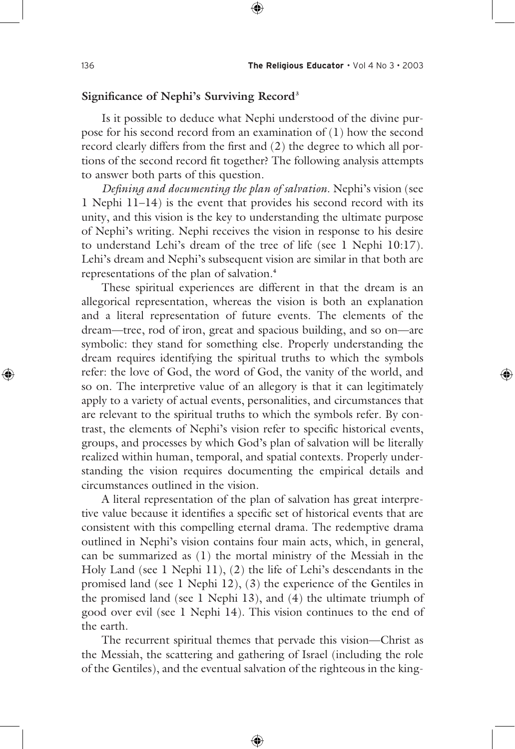#### **Significance of Nephi's Surviving Record3**

 Is it possible to deduce what Nephi understood of the divine purpose for his second record from an examination of (1) how the second record clearly differs from the first and (2) the degree to which all portions of the second record fit together? The following analysis attempts to answer both parts of this question.

*Defining and documenting the plan of salvation*. Nephi's vision (see 1 Nephi 11–14) is the event that provides his second record with its unity, and this vision is the key to understanding the ultimate purpose of Nephi's writing. Nephi receives the vision in response to his desire to understand Lehi's dream of the tree of life (see 1 Nephi 10:17). Lehi's dream and Nephi's subsequent vision are similar in that both are representations of the plan of salvation.**<sup>4</sup>**

 These spiritual experiences are different in that the dream is an allegorical representation, whereas the vision is both an explanation and a literal representation of future events. The elements of the dream—tree, rod of iron, great and spacious building, and so on—are symbolic: they stand for something else. Properly understanding the dream requires identifying the spiritual truths to which the symbols refer: the love of God, the word of God, the vanity of the world, and so on. The interpretive value of an allegory is that it can legitimately apply to a variety of actual events, personalities, and circumstances that are relevant to the spiritual truths to which the symbols refer. By contrast, the elements of Nephi's vision refer to specific historical events, groups, and processes by which God's plan of salvation will be literally realized within human, temporal, and spatial contexts. Properly understanding the vision requires documenting the empirical details and circumstances outlined in the vision.

 A literal representation of the plan of salvation has great interpretive value because it identifies a specific set of historical events that are consistent with this compelling eternal drama. The redemptive drama outlined in Nephi's vision contains four main acts, which, in general, can be summarized as (1) the mortal ministry of the Messiah in the Holy Land (see 1 Nephi 11), (2) the life of Lehi's descendants in the promised land (see 1 Nephi 12), (3) the experience of the Gentiles in the promised land (see 1 Nephi 13), and (4) the ultimate triumph of good over evil (see 1 Nephi 14). This vision continues to the end of the earth.

 The recurrent spiritual themes that pervade this vision—Christ as the Messiah, the scattering and gathering of Israel (including the role of the Gentiles), and the eventual salvation of the righteous in the king-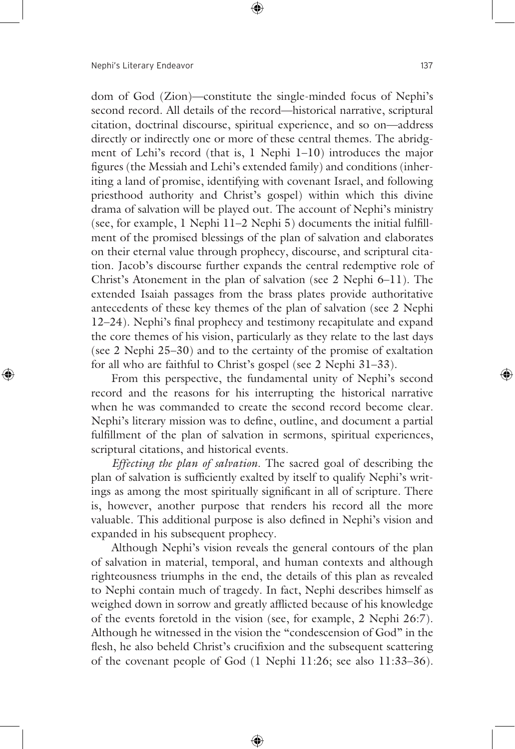dom of God (Zion)—constitute the single-minded focus of Nephi's second record. All details of the record—historical narrative, scriptural citation, doctrinal discourse, spiritual experience, and so on—address directly or indirectly one or more of these central themes. The abridgment of Lehi's record (that is, 1 Nephi 1–10) introduces the major figures (the Messiah and Lehi's extended family) and conditions (inheriting a land of promise, identifying with covenant Israel, and following priesthood authority and Christ's gospel) within which this divine drama of salvation will be played out. The account of Nephi's ministry (see, for example, 1 Nephi 11–2 Nephi 5) documents the initial fulfillment of the promised blessings of the plan of salvation and elaborates on their eternal value through prophecy, discourse, and scriptural citation. Jacob's discourse further expands the central redemptive role of Christ's Atonement in the plan of salvation (see 2 Nephi 6–11). The extended Isaiah passages from the brass plates provide authoritative antecedents of these key themes of the plan of salvation (see 2 Nephi 12–24). Nephi's final prophecy and testimony recapitulate and expand the core themes of his vision, particularly as they relate to the last days (see 2 Nephi 25–30) and to the certainty of the promise of exaltation for all who are faithful to Christ's gospel (see 2 Nephi 31–33).

 From this perspective, the fundamental unity of Nephi's second record and the reasons for his interrupting the historical narrative when he was commanded to create the second record become clear. Nephi's literary mission was to define, outline, and document a partial fulfillment of the plan of salvation in sermons, spiritual experiences, scriptural citations, and historical events.

*Effecting the plan of salvation*. The sacred goal of describing the plan of salvation is sufficiently exalted by itself to qualify Nephi's writings as among the most spiritually significant in all of scripture. There is, however, another purpose that renders his record all the more valuable. This additional purpose is also defined in Nephi's vision and expanded in his subsequent prophecy.

 Although Nephi's vision reveals the general contours of the plan of salvation in material, temporal, and human contexts and although righteousness triumphs in the end, the details of this plan as revealed to Nephi contain much of tragedy. In fact, Nephi describes himself as weighed down in sorrow and greatly afflicted because of his knowledge of the events foretold in the vision (see, for example, 2 Nephi 26:7). Although he witnessed in the vision the "condescension of God" in the flesh, he also beheld Christ's crucifixion and the subsequent scattering of the covenant people of God (1 Nephi 11:26; see also 11:33–36).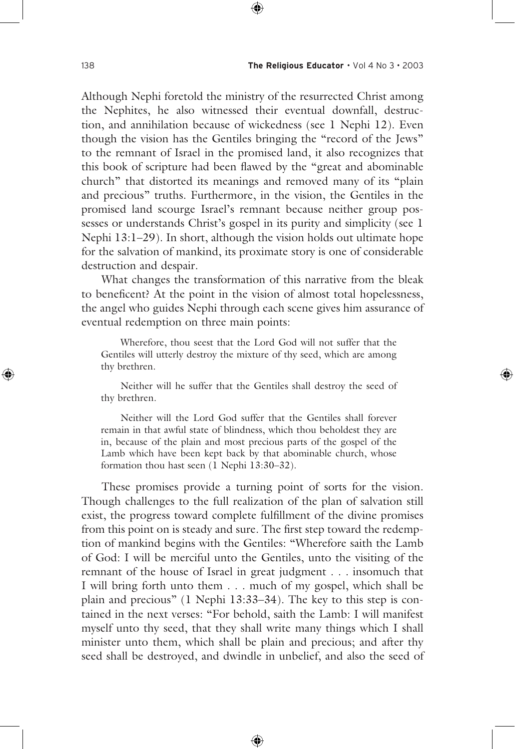Although Nephi foretold the ministry of the resurrected Christ among the Nephites, he also witnessed their eventual downfall, destruction, and annihilation because of wickedness (see 1 Nephi 12). Even though the vision has the Gentiles bringing the "record of the Jews" to the remnant of Israel in the promised land, it also recognizes that this book of scripture had been flawed by the "great and abominable church" that distorted its meanings and removed many of its "plain and precious" truths. Furthermore, in the vision, the Gentiles in the promised land scourge Israel's remnant because neither group possesses or understands Christ's gospel in its purity and simplicity (see 1 Nephi 13:1–29). In short, although the vision holds out ultimate hope for the salvation of mankind, its proximate story is one of considerable destruction and despair.

 What changes the transformation of this narrative from the bleak to beneficent? At the point in the vision of almost total hopelessness, the angel who guides Nephi through each scene gives him assurance of eventual redemption on three main points:

 Wherefore, thou seest that the Lord God will not suffer that the Gentiles will utterly destroy the mixture of thy seed, which are among thy brethren.

 Neither will he suffer that the Gentiles shall destroy the seed of thy brethren.

 Neither will the Lord God suffer that the Gentiles shall forever remain in that awful state of blindness, which thou beholdest they are in, because of the plain and most precious parts of the gospel of the Lamb which have been kept back by that abominable church, whose formation thou hast seen (1 Nephi 13:30–32).

 These promises provide a turning point of sorts for the vision. Though challenges to the full realization of the plan of salvation still exist, the progress toward complete fulfillment of the divine promises from this point on is steady and sure. The first step toward the redemption of mankind begins with the Gentiles: "Wherefore saith the Lamb of God: I will be merciful unto the Gentiles, unto the visiting of the remnant of the house of Israel in great judgment . . . insomuch that I will bring forth unto them . . . much of my gospel, which shall be plain and precious" (1 Nephi 13:33–34). The key to this step is contained in the next verses: "For behold, saith the Lamb: I will manifest myself unto thy seed, that they shall write many things which I shall minister unto them, which shall be plain and precious; and after thy seed shall be destroyed, and dwindle in unbelief, and also the seed of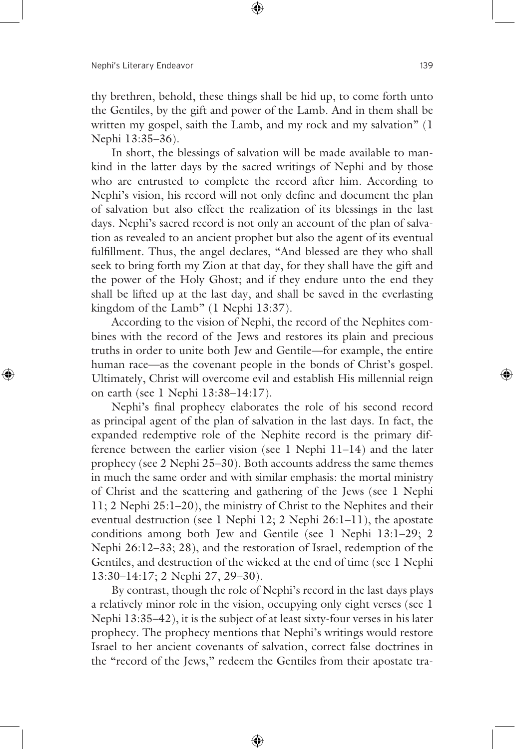thy brethren, behold, these things shall be hid up, to come forth unto the Gentiles, by the gift and power of the Lamb. And in them shall be written my gospel, saith the Lamb, and my rock and my salvation" (1 Nephi 13:35–36).

 In short, the blessings of salvation will be made available to mankind in the latter days by the sacred writings of Nephi and by those who are entrusted to complete the record after him. According to Nephi's vision, his record will not only define and document the plan of salvation but also effect the realization of its blessings in the last days. Nephi's sacred record is not only an account of the plan of salvation as revealed to an ancient prophet but also the agent of its eventual fulfillment. Thus, the angel declares, "And blessed are they who shall seek to bring forth my Zion at that day, for they shall have the gift and the power of the Holy Ghost; and if they endure unto the end they shall be lifted up at the last day, and shall be saved in the everlasting kingdom of the Lamb" (1 Nephi 13:37).

 According to the vision of Nephi, the record of the Nephites combines with the record of the Jews and restores its plain and precious truths in order to unite both Jew and Gentile—for example, the entire human race—as the covenant people in the bonds of Christ's gospel. Ultimately, Christ will overcome evil and establish His millennial reign on earth (see 1 Nephi 13:38–14:17).

 Nephi's final prophecy elaborates the role of his second record as principal agent of the plan of salvation in the last days. In fact, the expanded redemptive role of the Nephite record is the primary difference between the earlier vision (see 1 Nephi 11–14) and the later prophecy (see 2 Nephi 25–30). Both accounts address the same themes in much the same order and with similar emphasis: the mortal ministry of Christ and the scattering and gathering of the Jews (see 1 Nephi 11; 2 Nephi 25:1–20), the ministry of Christ to the Nephites and their eventual destruction (see 1 Nephi 12; 2 Nephi 26:1–11), the apostate conditions among both Jew and Gentile (see 1 Nephi 13:1–29; 2 Nephi 26:12–33; 28), and the restoration of Israel, redemption of the Gentiles, and destruction of the wicked at the end of time (see 1 Nephi 13:30–14:17; 2 Nephi 27, 29–30).

 By contrast, though the role of Nephi's record in the last days plays a relatively minor role in the vision, occupying only eight verses (see 1 Nephi 13:35–42), it is the subject of at least sixty-four verses in his later prophecy. The prophecy mentions that Nephi's writings would restore Israel to her ancient covenants of salvation, correct false doctrines in the "record of the Jews," redeem the Gentiles from their apostate tra-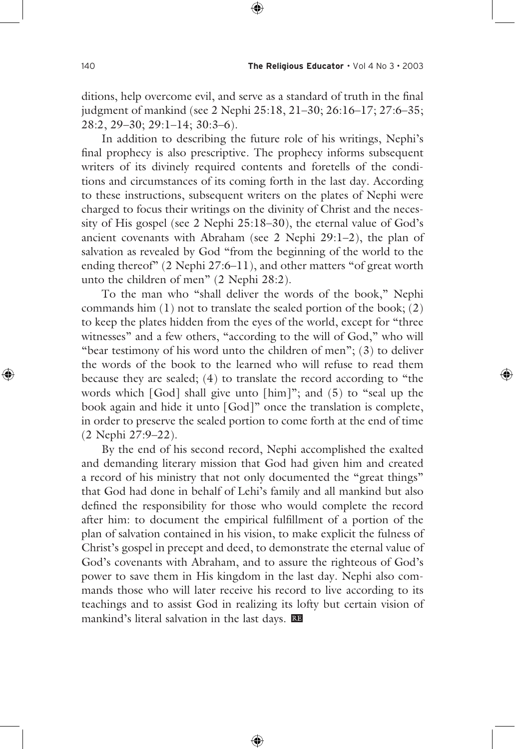ditions, help overcome evil, and serve as a standard of truth in the final judgment of mankind (see 2 Nephi 25:18, 21–30; 26:16–17; 27:6–35; 28:2, 29–30; 29:1–14; 30:3–6).

 In addition to describing the future role of his writings, Nephi's final prophecy is also prescriptive. The prophecy informs subsequent writers of its divinely required contents and foretells of the conditions and circumstances of its coming forth in the last day. According to these instructions, subsequent writers on the plates of Nephi were charged to focus their writings on the divinity of Christ and the necessity of His gospel (see 2 Nephi 25:18–30), the eternal value of God's ancient covenants with Abraham (see 2 Nephi 29:1–2), the plan of salvation as revealed by God "from the beginning of the world to the ending thereof" (2 Nephi 27:6–11), and other matters "of great worth unto the children of men" (2 Nephi 28:2).

 To the man who "shall deliver the words of the book," Nephi commands him  $(1)$  not to translate the sealed portion of the book;  $(2)$ to keep the plates hidden from the eyes of the world, except for "three witnesses" and a few others, "according to the will of God," who will "bear testimony of his word unto the children of men";  $(3)$  to deliver the words of the book to the learned who will refuse to read them because they are sealed; (4) to translate the record according to "the words which [God] shall give unto [him]"; and (5) to "seal up the book again and hide it unto [God]" once the translation is complete, in order to preserve the sealed portion to come forth at the end of time (2 Nephi 27:9–22).

 By the end of his second record, Nephi accomplished the exalted and demanding literary mission that God had given him and created a record of his ministry that not only documented the "great things" that God had done in behalf of Lehi's family and all mankind but also defined the responsibility for those who would complete the record after him: to document the empirical fulfillment of a portion of the plan of salvation contained in his vision, to make explicit the fulness of Christ's gospel in precept and deed, to demonstrate the eternal value of God's covenants with Abraham, and to assure the righteous of God's power to save them in His kingdom in the last day. Nephi also commands those who will later receive his record to live according to its teachings and to assist God in realizing its lofty but certain vision of mankind's literal salvation in the last days.